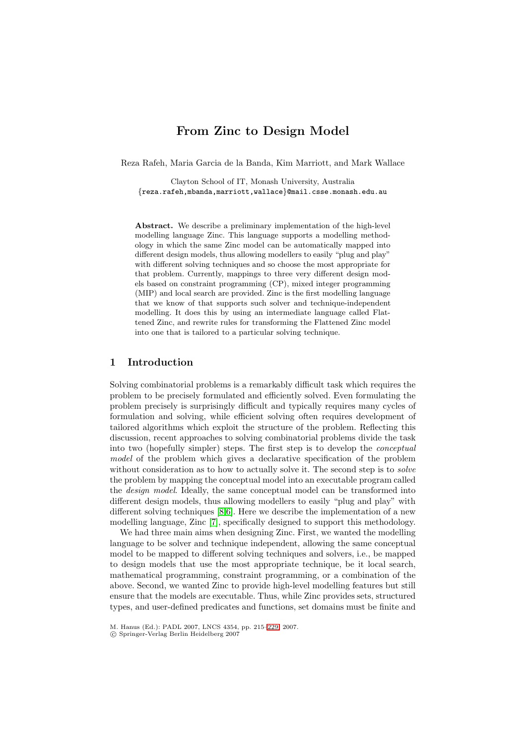# **From Zinc to Design Model**

Reza Rafeh, Maria Garcia de la Banda, Kim Marriott, and Mark Wallace

Clayton School of IT, Monash University, Australia {reza.rafeh,mbanda,marriott,wallace}@mail.csse.monash.edu.au

**Abstract.** We describe a preliminary implementation of the high-level modelling language Zinc. This language supports a modelling methodology in which the same Zinc model can be automatically mapped into different design models, thus allowing modellers to easily "plug and play" with different solving techniques and so choose the most appropriate for that problem. Currently, mappings to three very different design models based on constraint programming (CP), mixed integer programming (MIP) and local search are provided. Zinc is the first modelling language that we know of that supports such solver and technique-independent modelling. It does this by using an intermediate language called Flattened Zinc, and rewrite rules for transforming the Flattened Zinc model into one that is tailored to a particular solving technique.

## **1 Introduction**

Solving combinatorial problems is a remarkably difficult task which requires the problem to be precisely formulated and efficiently solved. Even formulating the problem precisely is surprisingly difficult and typically requires many cycles of formulation and solving, while efficient solving often requires development of tailored algorithms which exploit the structure of the problem. Reflecting this discussion, recent approaches to solving combinatorial problems divide the task into two (hopefully simpler) steps. The first step is to develop the *conceptual* model of the problem which gives a declarative specification of the problem without consideration as to how to actually solve it. The second step is to *solve* the problem by mapping the conceptual model into an executable program called the *design model*. Ideally, the same conceptual model can be transformed into different design models, thus allowing modellers to easily "plug and play" with different solving techniques [8,6]. Here we describe the implementation of a new modelling language, Zinc [7], specifically designed to support this methodology.

We had three main aims when designing Zinc. First, we wanted the modelling language to be solver and technique independent, allowing the same conceptual model to be mapped to diff[ere](#page-14-0)[nt](#page-14-1) solving techniques and solvers, i.e., be mapped to design models that us[e t](#page-14-2)he most appropriate technique, be it local search, mathematical programming, constraint programming, or a combination of the above. Second, we wanted Zinc to provide high-level modelling features but still ensure that the models are executable. Thus, while Zinc provides sets, structured types, and user-defined predicates and functions, set domains must be finite and

M. Hanus (Ed.): PADL 2007, LNCS 4354, pp. 215–229, 2007.

<sup>-</sup>c Springer-Verlag Berlin Heidelberg 2007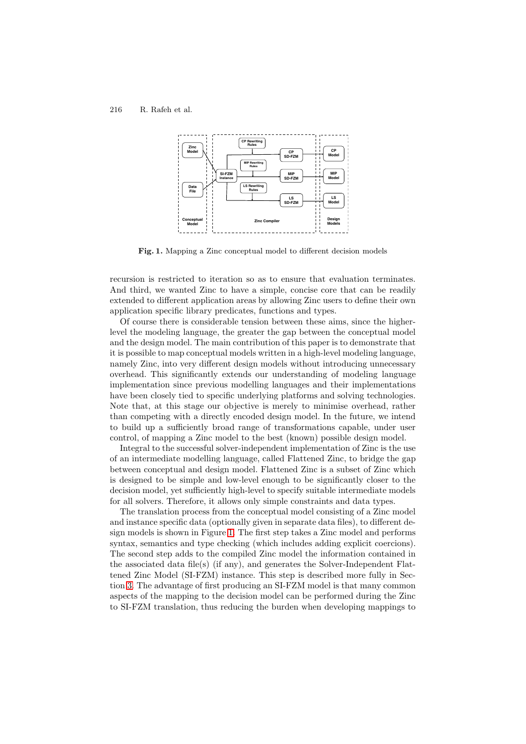

**Fig. 1.** Mapping a Zinc conceptual model to different decision models

recursion is restricted to iteration so as to ensure that evaluation terminates. And third, we wanted Zinc to have a simple, concise core that can be readily extended to different application areas by allowing Zinc users to define their own application specific library predicates, functions and types.

<span id="page-1-0"></span>Of course there is considerable tension between these aims, since the higherlevel the modeling language, the greater the gap between the conceptual model and the design model. The main contribution of this paper is to demonstrate that it is possible to map conceptual models written in a high-level modeling language, namely Zinc, into very different design models without introducing unnecessary overhead. This significantly extends our understanding of modeling language implementation since previous modelling languages and their implementations have been closely tied to specific underlying platforms and solving technologies. Note that, at this stage our objective is merely to minimise overhead, rather than competing with a directly encoded design model. In the future, we intend to build up a sufficiently broad range of transformations capable, under user control, of mapping a Zinc model to the best (known) possible design model.

Integral to the successful solver-independent implementation of Zinc is the use of an intermediate modelling language, called Flattened Zinc, to bridge the gap between conceptual and design model. Flattened Zinc is a subset of Zinc which is designed to be simple and low-level enough to be significantly closer to the decision model, yet sufficiently high-level to specify suitable intermediate models for all solvers. Therefore, it allows only simple constraints and data types.

The translation process from the conceptual model consisting of a Zinc model and instance specific data (optionally given in separate data files), to different design models is shown in Figure 1. The first step takes a Zinc model and performs syntax, semantics and type checking (which includes adding explicit coercions). The second step adds to the compiled Zinc model the information contained in the associated data file(s) (if any), and generates the Solver-Independent Flattened Zinc Model (SI-FZM) i[nst](#page-1-0)ance. This step is described more fully in Section 3. The advantage of first producing an SI-FZM model is that many common aspects of the mapping to the decision model can be performed during the Zinc to SI-FZM translation, thus reducing the burden when developing mappings to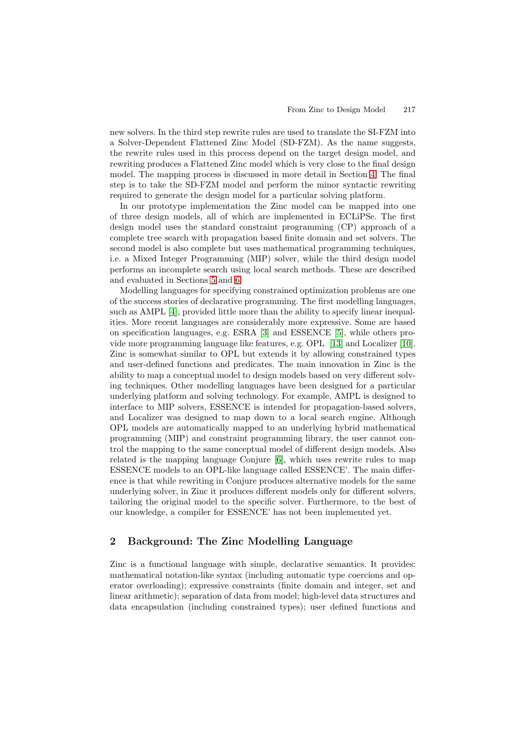new solvers. In the third step rewrite rules are used to translate the SI-FZM into a Solver-Dependent Flattened Zinc Model (SD-FZM). As the name suggests, the rewrite rules used in this process depend on the target design model, and rewriting produces a Flattened Zinc model which is very close to the final design model. The mapping process is discussed in more detail in Section 4. The final step is to take the SD-FZM model and perform the minor syntactic rewriting required to generate the design model for a particular solving platform.

In our prototype implementation the Zinc model can be mapped into one of three design models, all of which are implemented in ECLiP[Se.](#page-7-0) The first design model uses the standard constraint programming (CP) approach of a complete tree search with propagation based finite domain and set solvers. The second model is also complete but uses mathematical programming techniques, i.e. a Mixed Integer Programming (MIP) solver, while the third design model performs an incomplete search using local search methods. These are described and evaluated in Sections 5 and 6.

Modelling languages for specifying constrained optimization problems are one of the success stories of declarative programming. The first modelling languages, such as AMPL [4], provided little more than the ability to specify linear inequalities. More recent langua[ges](#page-9-0) are [c](#page-11-0)onsiderably more expressive. Some are based on specification languages, e.g. ESRA [3] and ESSENCE [5], while others provide more programming language like features, e.g. OPL [13] and Localizer [10]. Zinc is somewh[at](#page-14-3) similar to OPL but extends it by allowing constrained types and user-defined functions and predicates. The main innovation in Zinc is the ability to map a conceptual model to d[esig](#page-14-4)n models based [on](#page-14-5) very different solving techniques. Other modelling languages have been de[sign](#page-14-6)ed for a partic[ula](#page-14-7)r underlying platform and solving technology. For example, AMPL is designed to interface to MIP solvers, ESSENCE is intended for propagation-based solvers, and Localizer was designed to map down to a local search engine. Although OPL models are automatically mapped to an underlying hybrid mathematical programming (MIP) and constraint programming library, the user cannot control the mapping to the same conceptual model of different design models. Also related is the mapping language Conjure [6], which uses rewrite rules to map ESSENCE models to an OPL-like language called ESSENCE'. The main difference is that while rewriting in Conjure produces alternative models for the same underlying solver, in Zinc it produces different models only for different solvers, tailoring the original model to the specifi[c s](#page-14-1)olver. Furthermore, to the best of our knowledge, a compiler for ESSENCE' has not been implemented yet.

### **2 Background: The Zinc Modelling Language**

Zinc is a functional language with simple, declarative semantics. It provides: mathematical notation-like syntax (including automatic type coercions and operator overloading); expressive constraints (finite domain and integer, set and linear arithmetic); separation of data from model; high-level data structures and data encapsulation (including constrained types); user defined functions and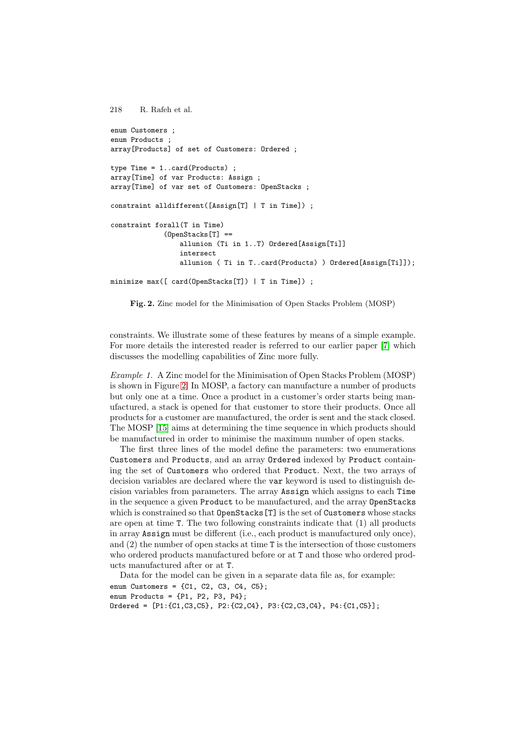```
218 R. Rafeh et al.
enum Customers ;
enum Products ;
array[Products] of set of Customers: Ordered ;
type Time = 1..card(Products) ;
array[Time] of var Products: Assign ;
array[Time] of var set of Customers: OpenStacks ;
constraint alldifferent([Assign[T] | T in Time]) ;
constraint forall(T in Time)
             (OpenStacks[T] ==
                 allunion (Ti in 1..T) Ordered[Assign[Ti]]
                 intersect
                 allunion ( Ti in T..card(Products) ) Ordered[Assign[Ti]]);
minimize max([ card(OpenStacks[T]) | T in Time]) ;
```
**Fig. 2.** Zinc model for the Minimisation of Open Stacks Problem (MOSP)

constraints. We illustrate some of these features by means of a simple example. For more details the interested reader is referred to our earlier paper [7] which discusses the modelling capabilities of Zinc more fully.

<span id="page-3-1"></span><span id="page-3-0"></span>Example 1. A Zinc model for the Minimisation of Open Stacks Problem (MOSP) is shown in Figure 2. In MOSP, a factory can manufacture a number of [pr](#page-14-2)oducts but only one at a time. Once a product in a customer's order starts being manufactured, a stack is opened for that customer to store their products. Once all products for a customer are manufactured, the order is sent and the stack closed. The MOSP [15] ai[ms](#page-3-0) at determining the time sequence in which products should be manufactured in order to minimise the maximum number of open stacks.

The first three lines of the model define the parameters: two enumerations Customers and Products, and an array Ordered indexed by Product containing the set [of](#page-14-8) Customers who ordered that Product. Next, the two arrays of decision variables are declared where the var keyword is used to distinguish decision variables from parameters. The array Assign which assigns to each Time in the sequence a given Product to be manufactured, and the array OpenStacks which is constrained so that OpenStacks [T] is the set of Customers whose stacks are open at time T. The two following constraints indicate that (1) all products in array Assign must be different (i.e., each product is manufactured only once), and (2) the number of open stacks at time T is the intersection of those customers who ordered products manufactured before or at T and those who ordered products manufactured after or at T.

Data for the model can be given in a separate data file as, for example:

enum Customers =  ${C1, C2, C3, C4, C5};$ 

enum Products = {P1, P2, P3, P4};

Ordered =  $[P1:\{C1, C3, C5\}, P2:\{C2, C4\}, P3:\{C2, C3, C4\}, P4:\{C1, C5\}];$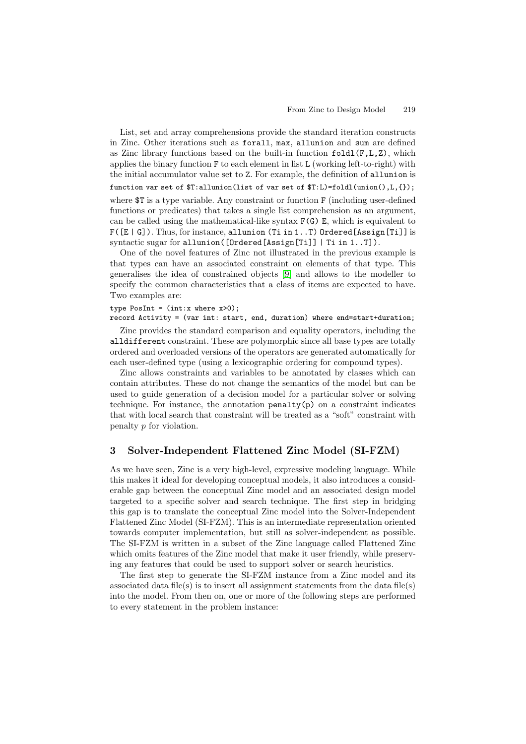List, set and array comprehensions provide the standard iteration constructs in Zinc. Other iterations such as forall, max, allunion and sum are defined as Zinc library functions based on the built-in function  $fold1(F,L,Z)$ , which applies the binary function F to each element in list L (working left-to-right) with the initial accumulator value set to Z. For example, the definition of allunion is

function var set of  $T:$ allunion(list of var set of  $T:L$ )=foldl(union(), $L$ , $\{\}$ );

where  $T$  is a type variable. Any constraint or function  $F$  (including user-defined functions or predicates) that takes a single list comprehension as an argument, can be called using the mathematical-like syntax  $F(G)$  E, which is equivalent to  $F([E | G]).$  Thus, for instance, allunion (Ti in 1..T) Ordered [Assign[Ti]] is syntactic sugar for allunion([Ordered[Assign[Ti]] | Ti in 1..T]).

One of the novel features of Zinc not illustrated in the previous example is that types can have an associated constraint on elements of that type. This generalises the idea of constrained objects [9] and allows to the modeller to specify the common characteristics that a class of items are expected to have. Two examples are:

#### type  $PosInt = (int:x where x>0);$

record Activity = (var int: start, end, du[rat](#page-14-9)ion) where end=start+duration;

Zinc provides the standard comparison and equality operators, including the alldifferent constraint. These are polymorphic since all base types are totally ordered and overloaded versions of the operators are generated automatically for each user-defined type (using a lexicographic ordering for compound types).

Zinc allows constraints and variables to be annotated by classes which can contain attributes. These do not change the semantics of the model but can be used to guide generation of a decision model for a particular solver or solving technique. For instance, the annotation  $penalty(p)$  on a constraint indicates that with local search that constraint will be treated as a "soft" constraint with penalty p for violation.

### **3 Solver-Independent Flattened Zinc Model (SI-FZM)**

<span id="page-4-0"></span>As we have seen, Zinc is a very high-level, expressive modeling language. While this makes it ideal for developing conceptual models, it also introduces a considerable gap between the conceptual Zinc model and an associated design model targeted to a specific solver and search technique. The first step in bridging this gap is to translate the conceptual Zinc model into the Solver-Independent Flattened Zinc Model (SI-FZM). This is an intermediate representation oriented towards computer implementation, but still as solver-independent as possible. The SI-FZM is written in a subset of the Zinc language called Flattened Zinc which omits features of the Zinc model that make it user friendly, while preserving any features that could be used to support solver or search heuristics.

The first step to generate the SI-FZM instance from a Zinc model and its associated data file(s) is to insert all assignment statements from the data file(s) into the model. From then on, one or more of the following steps are performed to every statement in the problem instance: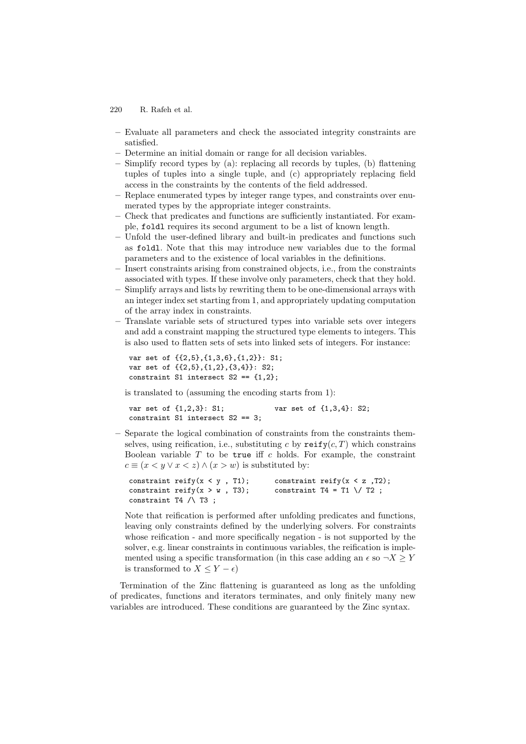- **–** Evaluate all parameters and check the associated integrity constraints are satisfied.
- **–** Determine an initial domain or range for all decision variables.
- **–** Simplify record types by (a): replacing all records by tuples, (b) flattening tuples of tuples into a single tuple, and (c) appropriately replacing field access in the constraints by the contents of the field addressed.
- **–** Replace enumerated types by integer range types, and constraints over enumerated types by the appropriate integer constraints.
- **–** Check that predicates and functions are sufficiently instantiated. For example, foldl requires its second argument to be a list of known length.
- **–** Unfold the user-defined library and built-in predicates and functions such as foldl. Note that this may introduce new variables due to the formal parameters and to the existence of local variables in the definitions.
- **–** Insert constraints arising from constrained objects, i.e., from the constraints associated with types. If these involve only parameters, check that they hold.
- **–** Simplify arrays and lists by rewriting them to be one-dimensional arrays with an integer index set starting from 1, and appropriately updating computation of the array index in constraints.
- **–** Translate variable sets of structured types into variable sets over integers and add a constraint mapping the structured type elements to integers. This is also used to flatten sets of sets into linked sets of integers. For instance:

```
var set of {{2,5},{1,3,6},{1,2}}: S1;
var set of {{2,5},{1,2},{3,4}}: S2;
constraint S1 intersect S2 == \{1,2\};
```
is translated to (assuming the encoding starts from 1):

var set of  $\{1,2,3\}$ : S1; var set of  $\{1,3,4\}$ : S2; constraint S1 intersect S2 == 3;

**–** Separate the logical combination of constraints from the constraints themselves, using reification, i.e., substituting c by  $\text{reify}(c,T)$  which constrains Boolean variable  $T$  to be true iff  $c$  holds. For example, the constraint  $c \equiv (x \leq y \lor x \leq z) \land (x > w)$  is substituted by:

```
constraint reify(x \le y, T1); constraint reify(x \le z, T2);
constraint reify(x > w, T3); constraint T4 = T1 \/ T2 ;
constraint T4 / T3 ;
```
Note that reification is performed after unfolding predicates and functions, leaving only constraints defined by the underlying solvers. For constraints whose reification - and more specifically negation - is not supported by the solver, e.g. linear constraints in continuous variables, the reification is implemented using a specific transformation (in this case adding an  $\epsilon$  so  $\neg X \geq Y$ is transformed to  $X \leq Y - \epsilon$ 

Termination of the Zinc flattening is guaranteed as long as the unfolding of predicates, functions and iterators terminates, and only finitely many new variables are introduced. These conditions are guaranteed by the Zinc syntax.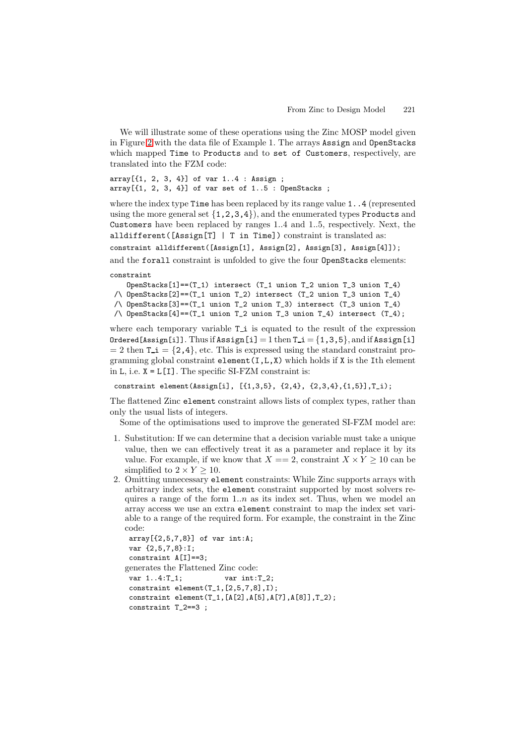We will illustrate some of these operations using the Zinc MOSP model given in Figure 2 with the data file of Example 1. The arrays Assign and OpenStacks which mapped Time to Products and to set of Customers, respectively, are translated into the FZM code:

array[{1, 2, 3, 4}] of var 1..4 : Assign ;  $array[{1, 2, 3, 4}]$  $array[{1, 2, 3, 4}]$  $array[{1, 2, 3, 4}]$  of var set of  $1..5:$  OpenStacks ;

where the index type Time has been replaced by its range value 1..4 (represented using the more general set  $\{1,2,3,4\}$ , and the enumerated types Products and Customers have been replaced by ranges 1..4 and 1..5, respectively. Next, the alldifferent([Assign[T] | T in Time]) constraint is translated as:

constraint alldifferent([Assign[1], Assign[2], Assign[3], Assign[4]]);

and the forall constraint is unfolded to give the four OpenStacks elements: constraint

 $OpenStacks[1] == (T_1)$  intersect  $(T_1$  union  $T_2$  union  $T_3$  union  $T_4)$  $\land$  OpenStacks[2]==(T\_1 union T\_2) intersect (T\_2 union T\_3 union T\_4) /\ OpenStacks[3]==(T\_1 union T\_2 union T\_3) intersect (T\_3 union T\_4)  $\land$  OpenStacks[4]==(T\_1 union T\_2 union T\_3 union T\_4) intersect (T\_4);

where each temporary variable  $T_i$  is equated to the result of the expression Ordered[Assign[i]]. Thus if Assign[i] = 1 then  $T_i = \{1,3,5\}$ , and if Assign[i]  $= 2$  then  $T_i = \{2, 4\}$ , etc. This is expressed using the standard constraint programming global constraint element  $(I, L, X)$  which holds if X is the Ith element in L, i.e. X = L[I]. The specific SI-FZM constraint is:

```
constraint element(Assign[i], [{1,3,5}, {2,4}, {2,3,4},{1,5}],T_i);
```
The flattened Zinc element constraint allows lists of complex types, rather than only the usual lists of integers.

Some of the optimisations used to improve the generated SI-FZM model are:

- 1. Substitution: If we can determine that a decision variable must take a unique value, then we can effectively treat it as a parameter and replace it by its value. For example, if we know that  $X == 2$ , constraint  $X \times Y \ge 10$  can be simplified to  $2 \times Y \geq 10$ .
- 2. Omitting unnecessary element constraints: While Zinc supports arrays with arbitrary index sets, the element constraint supported by most solvers requires a range of the form  $1..n$  as its index set. Thus, when we model an array access we use an extra element constraint to map the index set variable to a range of the required form. For example, the constraint in the Zinc code:

```
array[{2,5,7,8}] of var int:A;
 var {2,5,7,8}:I;
 constraint A[I]==3;
generates the Flattened Zinc code:
 var 1..4:T<sub>1</sub>; var int:T<sub>-2</sub>;
 constraint element(T_1, [2,5,7,8], I);
 constraint element(T_1,[A[2],A[5],A[7],A[8]],T_2);
 constraint T_2==3 ;
```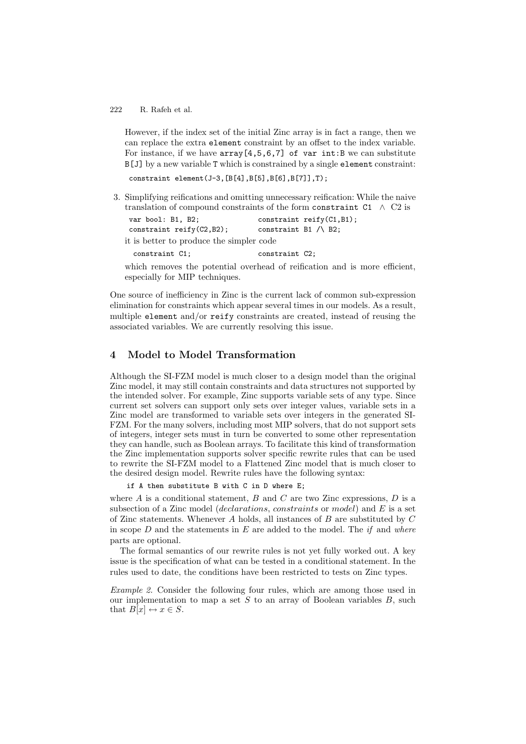However, if the index set of the initial Zinc array is in fact a range, then we can replace the extra element constraint by an offset to the index variable. For instance, if we have  $\arctan[4,5,6,7]$  of var int:B we can substitute B[J] by a new variable T which is constrained by a single element constraint:

constraint element(J-3,[B[4],B[5],B[6],B[7]],T);

3. Simplifying reifications and omitting unnecessary reification: While the naive translation of compound constraints of the form constraint C1  $\land$  C2 is

|  | var bool: B1, B2; |  |  | constraint reify(C1,B1); |  |  |
|--|-------------------|--|--|--------------------------|--|--|
|--|-------------------|--|--|--------------------------|--|--|

constraint reify( $C2$ , $B2$ ); constraint  $B1$  /  $B2$ ;

it is better to produce the simpler code

constraint C1; constraint C2;

which removes the potential overhead of reification and is more efficient, especially for MIP techniques.

One source of inefficiency in Zinc is the current lack of common sub-expression elimination for constraints which appear several times in our models. As a result, multiple element and/or reify constraints are created, instead of reusing the associated variables. We are currently resolving this issue.

# <span id="page-7-0"></span>**4 Model to Model Transformation**

Although the SI-FZM model is much closer to a design model than the original Zinc model, it may still contain constraints and data structures not supported by the intended solver. For example, Zinc supports variable sets of any type. Since current set solvers can support only sets over integer values, variable sets in a Zinc model are transformed to variable sets over integers in the generated SI-FZM. For the many solvers, including most MIP solvers, that do not support sets of integers, integer sets must in turn be converted to some other representation they can handle, such as Boolean arrays. To facilitate this kind of transformation the Zinc implementation supports solver specific rewrite rules that can be used to rewrite the SI-FZM model to a Flattened Zinc model that is much closer to the desired design model. Rewrite rules have the following syntax:

if A then substitute B with C in D where E;

where  $A$  is a conditional statement,  $B$  and  $C$  are two Zinc expressions,  $D$  is a subsection of a Zinc model (declarations, constraints or model) and E is a set of Zinc statements. Whenever A holds, all instances of B are substituted by C in scope  $D$  and the statements in  $E$  are added to the model. The if and where parts are optional.

The formal semantics of our rewrite rules is not yet fully worked out. A key issue is the specification of what can be tested in a conditional statement. In the rules used to date, the conditions have been restricted to tests on Zinc types.

Example 2. Consider the following four rules, which are among those used in our implementation to map a set  $S$  to an array of Boolean variables  $B$ , such that  $B[x] \leftrightarrow x \in S$ .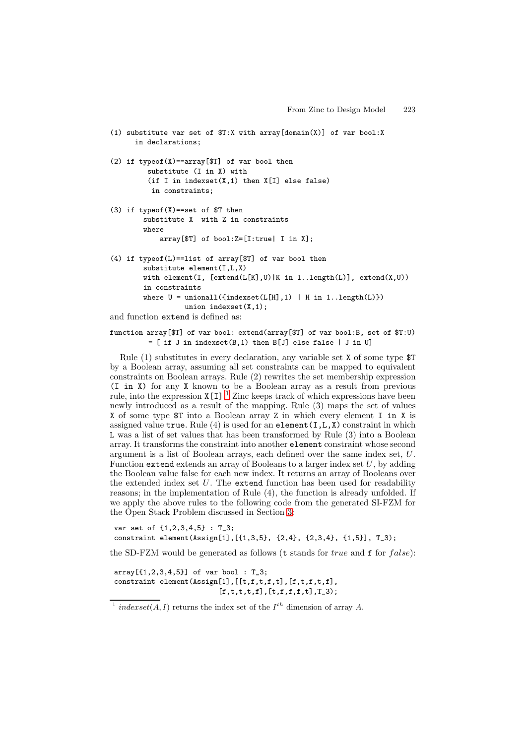```
(1) substitute var set of $T:X with array[domain(X)] of var bool:X
      in declarations;
```
- (2) if typeof(X)==array[\$T] of var bool then substitute (I in X) with (if I in indexset $(X,1)$  then  $X[I]$  else false) in constraints;
- (3) if typeof $(X)$ ==set of \$T then substitute X with Z in constraints where array[\$T] of bool:Z=[I:true| I in X];
- (4) if typeof(L)==list of array[\$T] of var bool then substitute element(I,L,X) with element(I, [extend(L[K],U)|K in 1..length(L)], extend(X,U)) in constraints where  $U = unionall(\{indexset(L[H], 1) | H in 1..length(L)\})$ union indexset(X,1);

and function extend is defined as:

function array[\$T] of var bool: extend(array[\$T] of var bool:B, set of \$T:U)  $=$  [ if J in indexset(B,1) then B[J] else false | J in U]

Rule (1) substitutes in every declaration, any variable set X of some type \$T by a Boolean array, assuming all set constraints can be mapped to equivalent constraints on Boolean arrays. Rule (2) rewrites the set membership expression (I in X) for any X known to be a Boolean array as a result from previous rule, into the expression  $X[I]$ .<sup>1</sup> Zinc keeps track of which expressions have been newly introduced as a result of the mapping. Rule (3) maps the set of values X of some type \$T into a Boolean array Z in which every element I in X is assigned value true. Rule  $(4)$  is used for an element  $(I, L, X)$  constraint in which L was a list of set values that [h](#page-8-0)as been transformed by Rule (3) into a Boolean array. It transforms the constraint into another element constraint whose second argument is a list of Boolean arrays, each defined over the same index set, U. Function extend extends an array of Booleans to a larger index set  $U$ , by adding the Boolean value false for each new index. It returns an array of Booleans over the extended index set  $U$ . The extend function has been used for readability reasons; in the implementation of Rule (4), the function is already unfolded. If we apply the above rules to the following code from the generated SI-FZM for the Open Stack Problem discussed in Section 3:

var set of {1,2,3,4,5} : T\_3; constraint element(Assign[1],[{1,3,5}, {2,4}, {2,3,4}, {1,5}], T\_3);

the SD-FZM would be generated a[s](#page-4-0) follows ( $t$  stands for *true* and  $f$  for  $false$ ):

 $array[{1,2,3,4,5}]$  of var bool : T\_3; constraint element(Assign[1], [[t,f,t,f,t], [f,t,f,t,f],  $[f, t, t, t, f], [t, f, f, f, t], T_3$ ;

<span id="page-8-0"></span> $\overline{1}$  indexset(A, I) returns the index set of the  $I^{th}$  dimension of array A.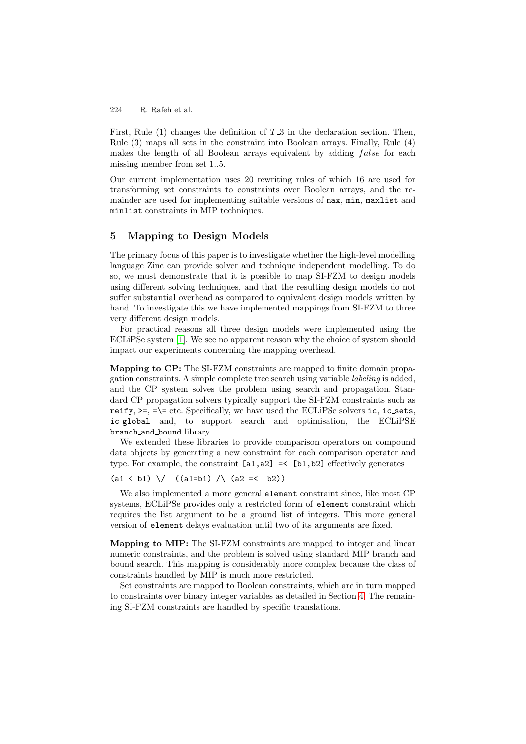First, Rule  $(1)$  changes the definition of  $T_3$  in the declaration section. Then, Rule (3) maps all sets in the constraint into Boolean arrays. Finally, Rule (4) makes the length of all Boolean arrays equivalent by adding *false* for each missing member from set 1..5.

Our current implementation uses 20 rewriting rules of which 16 are used for transforming set constraints to constraints over Boolean arrays, and the remainder are used for implementing suitable versions of max, min, maxlist and minlist constraints in MIP techniques.

# **5 Mapping to Design Models**

<span id="page-9-0"></span>The primary focus of this paper is to investigate whether the high-level modelling language Zinc can provide solver and technique independent modelling. To do so, we must demonstrate that it is possible to map SI-FZM to design models using different solving techniques, and that the resulting design models do not suffer substantial overhead as compared to equivalent design models written by hand. To investigate this we have implemented mappings from SI-FZM to three very different design models.

For practical reasons all three design models were implemented using the ECLiPSe system [1]. We see no apparent reason why the choice of system should impact our experiments concerning the mapping overhead.

**Mapping to CP:** The SI-FZM constraints are mapped to finite domain propagation constraint[s. A](#page-14-10) simple complete tree search using variable labeling is added, and the CP system solves the problem using search and propagation. Standard CP propagation solvers typically support the SI-FZM constraints such as reify,  $>=$ ,  $=$   $\text{etc.}$  Specifically, we have used the ECLiPSe solvers ic, ic\_sets, ic global and, to support search and optimisation, the ECLiPSE branch and bound library.

We extended these libraries to provide comparison operators on compound data objects by generating a new constraint for each comparison operator and type. For example, the constraint  $[a1,a2]$  =<  $[b1,b2]$  effectively generates

 $(a1 < b1)$   $\setminus$   $((a1=b1)$   $\setminus$   $(a2 = < b2))$ 

We also implemented a more general element constraint since, like most CP systems, ECLiPSe provides only a restricted form of element constraint which requires the list argument to be a ground list of integers. This more general version of element delays evaluation until two of its arguments are fixed.

**Mapping to MIP:** The SI-FZM constraints are mapped to integer and linear numeric constraints, and the problem is solved using standard MIP branch and bound search. This mapping is considerably more complex because the class of constraints handled by MIP is much more restricted.

Set constraints are mapped to Boolean constraints, which are in turn mapped to constraints over binary integer variables as detailed in Section 4. The remaining SI-FZM constraints are handled by specific translations.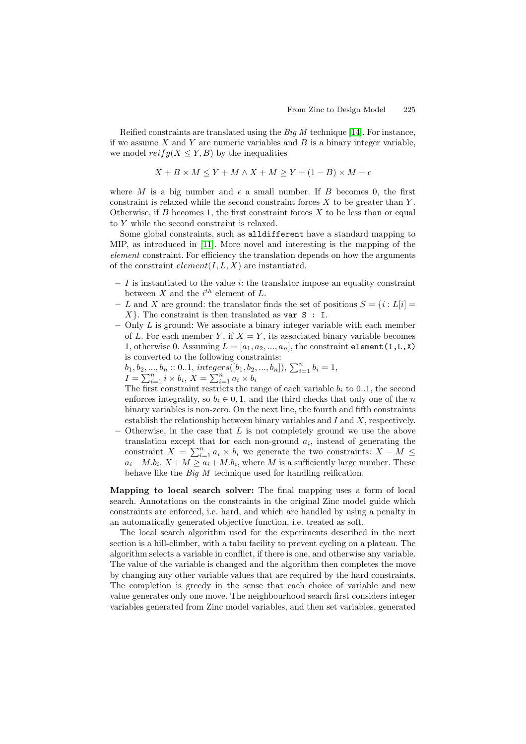Reified constraints are translated using the  $Big M$  technique [14]. For instance, if we assume  $X$  and  $Y$  are numeric variables and  $B$  is a binary integer variable, we model  $reify(X \leq Y, B)$  by the inequalities

$$
X + B \times M \le Y + M \wedge X + M \ge Y + (1 - B) \times M + \epsilon
$$

where M is a big number and  $\epsilon$  a small number. If B becomes 0, the first constraint is relaxed while the second constraint forces  $X$  to be greater than  $Y$ . Otherwise, if  $B$  becomes 1, the first constraint forces  $X$  to be less than or equal to Y while the second constraint is relaxed.

Some global constraints, such as alldifferent have a standard mapping to MIP, as introduced in [11]. More novel and interesting is the mapping of the element constraint. For efficiency the translation depends on how the arguments of the constraint  $element(I, L, X)$  are instantiated.

- $I$  is instantiated to [the](#page-14-12) value *i*: the translator impose an equality constraint between X and the  $i^{th}$  element of L.
- $-I$  and X are ground: the translator finds the set of positions  $S = \{i : L[i] = I\}$  $X$ . The constraint is then translated as var S : I.
- **–** Only L is ground: We associate a binary integer variable with each member of L. For each member Y, if  $X = Y$ , its associated binary variable becomes 1, otherwise 0. Assuming  $L = [a_1, a_2, ..., a_n]$ , the constraint element  $(I, L, X)$ is converted to the following constraints:

 $(b_1, b_2, ..., b_n :: 0..1, \, integers([b_1, b_2, ..., b_n]), \, \sum_{i=1}^n b_i = 1,$ 

$$
I = \sum_{i=1}^{n} i \times b_i, \ X = \sum_{i=1}^{n} a_i \times b_i
$$

The first constraint restricts the range of each variable  $b_i$  to 0..1, the second enforces integrality, so  $b_i \in \{0, 1\}$ , and the third checks that only one of the n binary variables is non-zero. On the next line, the fourth and fifth constraints establish the relationship between binary variables and  $I$  and  $X$ , respectively.

**–** Otherwise, in the case that L is not completely ground we use the above translation except that for each non-ground  $a_i$ , instead of generating the constraint  $X = \sum_{i=1}^{n} a_i \times b_i$  we generate the two constraints:  $X - M \leq$  $a_i - M.b_i$ ,  $X + M \ge a_i + M.b_i$ , where M is a sufficiently large number. These behave like the Big M technique used for handling reification.

**Mapping to local search solver:** The final mapping uses a form of local search. Annotations on the constraints in the original Zinc model guide which constraints are enforced, i.e. hard, and which are handled by using a penalty in an automatically generated objective function, i.e. treated as soft.

The local search algorithm used for the experiments described in the next section is a hill-climber, with a tabu facility to prevent cycling on a plateau. The algorithm selects a variable in conflict, if there is one, and otherwise any variable. The value of the variable is changed and the algorithm then completes the move by changing any other variable values that are required by the hard constraints. The completion is greedy in the sense that each choice of variable and new value generates only one move. The neighbourhood search first considers integer variables generated from Zinc model variables, and then set variables, generated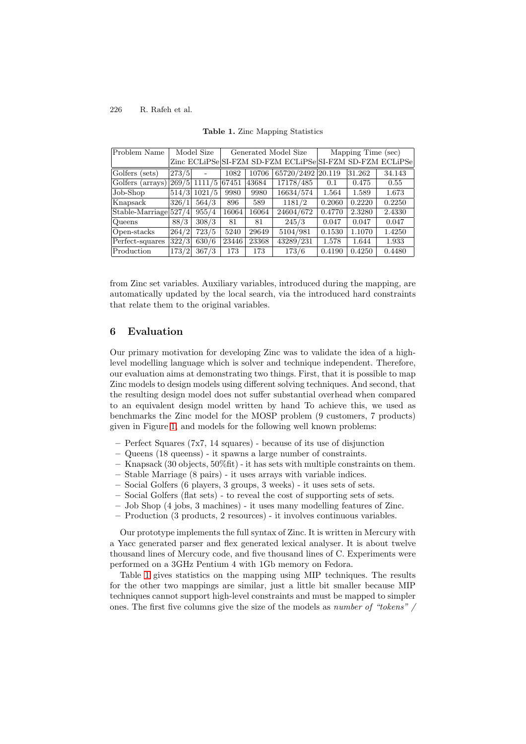| Problem Name          |       | Model Size   |       | Generated Model Size |                                                         |        | Mapping Time (sec) |        |  |
|-----------------------|-------|--------------|-------|----------------------|---------------------------------------------------------|--------|--------------------|--------|--|
|                       |       |              |       |                      | Zinc ECLiPSeSSI-FZM SD-FZM ECLIPSeSI-FZM SD-FZM ECLIPSe |        |                    |        |  |
| Golfers (sets)        | 273/5 |              | 1082  | 10706                | 65720/2492 20.119                                       |        | 31.262             | 34.143 |  |
| Golfers (arrays)      | 269/5 | 1111/5       | 67451 | 43684                | 17178/485                                               | 0.1    | 0.475              | 0.55   |  |
| Job-Shop              |       | 514/3 1021/5 | 9980  | 9980                 | 16634/574                                               | 1.564  | 1.589              | 1.673  |  |
| Knapsack              | 326/1 | 564/3        | 896   | 589                  | 1181/2                                                  | 0.2060 | 0.2220             | 0.2250 |  |
| Stable-Marriage 527/4 |       | 955/4        | 16064 | 16064                | 24604/672                                               | 0.4770 | 2.3280             | 2.4330 |  |
| Queens                | 88/3  | 308/3        | 81    | 81                   | 245/3                                                   | 0.047  | 0.047              | 0.047  |  |
| Open-stacks           | 264/2 | 723/5        | 5240  | 29649                | 5104/981                                                | 0.1530 | 1.1070             | 1.4250 |  |
| Perfect-squares       | 322/3 | 630/6        | 23446 | 23368                | 43289/231                                               | 1.578  | 1.644              | 1.933  |  |
| Production            | 173/2 | 367/3        | 173   | 173                  | 173/6                                                   | 0.4190 | 0.4250             | 0.4480 |  |

**Table 1.** Zinc Mapping Statistics

from Zinc set variables. Auxiliary variables, introduced during the mapping, are automatically updated by the local search, via the introduced hard constraints that relate them to the original variables.

### **6 Evaluation**

<span id="page-11-0"></span>Our primary motivation for developing Zinc was to validate the idea of a highlevel modelling language which is solver and technique independent. Therefore, our evaluation aims at demonstrating two things. First, that it is possible to map Zinc models to design models using different solving techniques. And second, that the resulting design model does not suffer substantial overhead when compared to an equivalent design model written by hand To achieve this, we used as benchmarks the Zinc model for the MOSP problem (9 customers, 7 products) given in Figure 1, and models for the following well known problems:

- **–** Perfect Squares (7x7, 14 squares) because of its use of disjunction
- **–** Queens (18 queenss) it spawns a large number of constraints.
- **–** Knapsack (30 objects, 50%fit) it has sets with multiple constraints on them.
- **–** Stable Mar[ria](#page-3-1)ge (8 pairs) it uses arrays with variable indices.
- **–** Social Golfers (6 players, 3 groups, 3 weeks) it uses sets of sets.
- **–** Social Golfers (flat sets) to reveal the cost of supporting sets of sets.
- **–** Job Shop (4 jobs, 3 machines) it uses many modelling features of Zinc.
- **–** Production (3 products, 2 resources) it involves continuous variables.

Our prototype implements the full syntax of Zinc. It is written in Mercury with a Yacc generated parser and flex generated lexical analyser. It is about twelve thousand lines of Mercury code, and five thousand lines of C. Experiments were performed on a 3GHz Pentium 4 with 1Gb memory on Fedora.

Table 1 gives statistics on the mapping using MIP techniques. The results for the other two mappings are similar, just a little bit smaller because MIP techniques cannot support high-level constraints and must be mapped to simpler ones. The first five columns give the size of the models as number of "tokens" /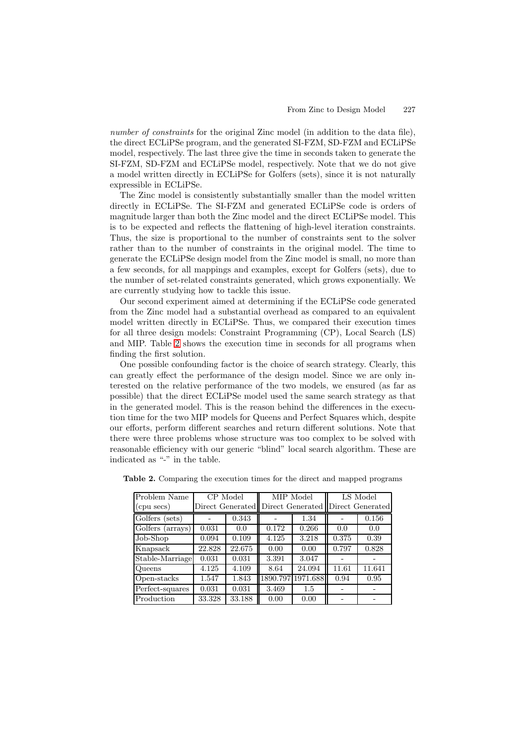number of constraints for the original Zinc model (in addition to the data file), the direct ECLiPSe program, and the generated SI-FZM, SD-FZM and ECLiPSe model, respectively. The last three give the time in seconds taken to generate the SI-FZM, SD-FZM and ECLiPSe model, respectively. Note that we do not give a model written directly in ECLiPSe for Golfers (sets), since it is not naturally expressible in ECLiPSe.

The Zinc model is consistently substantially smaller than the model written directly in ECLiPSe. The SI-FZM and generated ECLiPSe code is orders of magnitude larger than both the Zinc model and the direct ECLiPSe model. This is to be expected and reflects the flattening of high-level iteration constraints. Thus, the size is proportional to the number of constraints sent to the solver rather than to the number of constraints in the original model. The time to generate the ECLiPSe design model from the Zinc model is small, no more than a few seconds, for all mappings and examples, except for Golfers (sets), due to the number of set-related constraints generated, which grows exponentially. We are currently studying how to tackle this issue.

Our second experiment aimed at determining if the ECLiPSe code generated from the Zinc model had a substantial overhead as compared to an equivalent model written directly in ECLiPSe. Thus, we compared their execution times for all three design models: Constraint Programming (CP), Local Search (LS) and MIP. Table 2 shows the execution time in seconds for all programs when finding the first solution.

One possible confounding factor is the choice of search strategy. Clearly, this can greatly effect the performance of the design model. Since we are only interested on the [rel](#page-12-0)ative performance of the two models, we ensured (as far as possible) that the direct ECLiPSe model used the same search strategy as that in the generated model. This is the reason behind the differences in the execution time for the two MIP models for Queens and Perfect Squares which, despite our efforts, perform different searches and return different solutions. Note that there were three problems whose structure was too complex to be solved with reasonable efficiency with our generic "blind" local search algorithm. These are indicated as "-" in the table.

<span id="page-12-0"></span>

| Problem Name      | CP Model |        | MIP Model                                            |          | LS Model |        |
|-------------------|----------|--------|------------------------------------------------------|----------|----------|--------|
| (cpu secs)        |          |        | Direct Generated  Direct Generated  Direct Generated |          |          |        |
| Golfers<br>(sets) |          | 0.343  |                                                      | 1.34     |          | 0.156  |
| Golfers (arrays)  | 0.031    | 0.0    | 0.172                                                | 0.266    | 0.0      | 0.0    |
| Job-Shop          | 0.094    | 0.109  | 4.125                                                | 3.218    | 0.375    | 0.39   |
| Knapsack          | 22.828   | 22.675 | 0.00                                                 | 0.00     | 0.797    | 0.828  |
| Stable-Marriage   | 0.031    | 0.031  | 3.391                                                | 3.047    |          |        |
| Queens            | 4.125    | 4.109  | 8.64                                                 | 24.094   | 11.61    | 11.641 |
| Open-stacks       | 1.547    | 1.843  | 1890.797                                             | 1971.688 | 0.94     | 0.95   |
| Perfect-squares   | 0.031    | 0.031  | 3.469                                                | 1.5      |          |        |
| Production        | 33.328   | 33.188 | 0.00                                                 | 0.00     |          |        |

**Table 2.** Comparing the execution times for the direct and mapped programs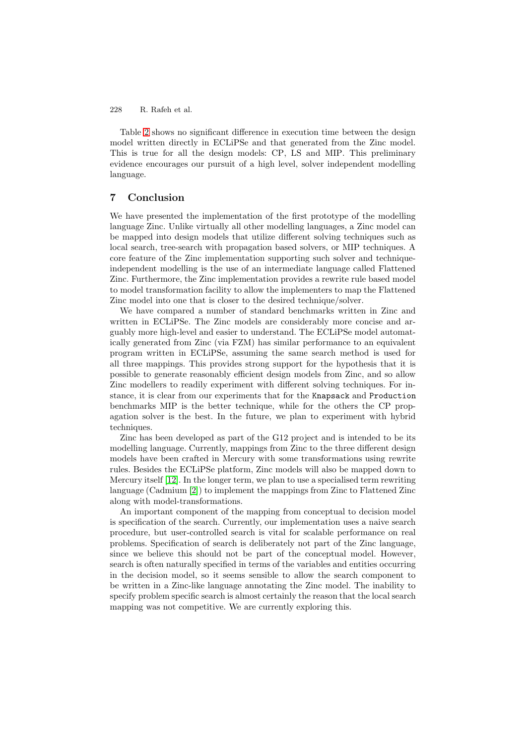Table 2 shows no significant difference in execution time between the design model written directly in ECLiPSe and that generated from the Zinc model. This is true for all the design models: CP, LS and MIP. This preliminary evidence encourages our pursuit of a high level, solver independent modelling languag[e.](#page-12-0)

### **7 Conclusion**

We have presented the implementation of the first prototype of the modelling language Zinc. Unlike virtually all other modelling languages, a Zinc model can be mapped into design models that utilize different solving techniques such as local search, tree-search with propagation based solvers, or MIP techniques. A core feature of the Zinc implementation supporting such solver and techniqueindependent modelling is the use of an intermediate language called Flattened Zinc. Furthermore, the Zinc implementation provides a rewrite rule based model to model transformation facility to allow the implementers to map the Flattened Zinc model into one that is closer to the desired technique/solver.

We have compared a number of standard benchmarks written in Zinc and written in ECLiPSe. The Zinc models are considerably more concise and arguably more high-level and easier to understand. The ECLiPSe model automatically generated from Zinc (via FZM) has similar performance to an equivalent program written in ECLiPSe, assuming the same search method is used for all three mappings. This provides strong support for the hypothesis that it is possible to generate reasonably efficient design models from Zinc, and so allow Zinc modellers to readily experiment with different solving techniques. For instance, it is clear from our experiments that for the Knapsack and Production benchmarks MIP is the better technique, while for the others the CP propagation solver is the best. In the future, we plan to experiment with hybrid techniques.

Zinc has been developed as part of the G12 project and is intended to be its modelling language. Currently, mappings from Zinc to the three different design models have been crafted in Mercury with some transformations using rewrite rules. Besides the ECLiPSe platform, Zinc models will also be mapped down to Mercury itself [12]. In the longer term, we plan to use a specialised term rewriting language (Cadmium [2]) to implement the mappings from Zinc to Flattened Zinc along with model-transformations.

An important component of the mapping from conceptual to decision model is specification [of](#page-14-13) the search. Currently, our implementation uses a naive search procedure, but user-[co](#page-14-14)ntrolled search is vital for scalable performance on real problems. Specification of search is deliberately not part of the Zinc language, since we believe this should not be part of the conceptual model. However, search is often naturally specified in terms of the variables and entities occurring in the decision model, so it seems sensible to allow the search component to be written in a Zinc-like language annotating the Zinc model. The inability to specify problem specific search is almost certainly the reason that the local search mapping was not competitive. We are currently exploring this.